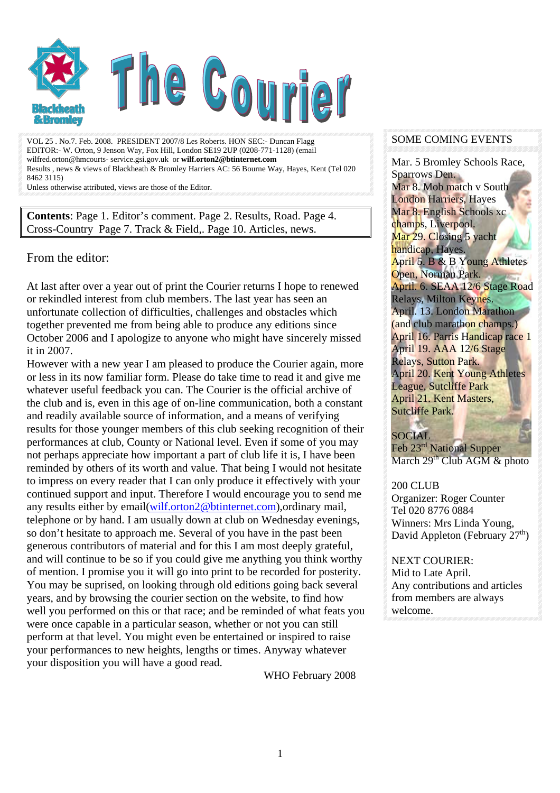

VOL 25 . No.7. Feb. 2008. PRESIDENT 2007/8 Les Roberts. HON SEC:- Duncan Flagg EDITOR:- W. Orton, 9 Jenson Way, Fox Hill, London SE19 2UP (0208-771-1128) (email wilfred.orton@hmcourts- service.gsi.gov.uk or **wilf.orton2@btinternet.com** Results , news & views of Blackheath & Bromley Harriers AC: 56 Bourne Way, Hayes, Kent (Tel 020 8462 3115)

Unless otherwise attributed, views are those of the Editor.

**Contents**: Page 1. Editor's comment. Page 2. Results, Road. Page 4. Cross-Country Page 7. Track & Field,. Page 10. Articles, news.

#### From the editor:

At last after over a year out of print the Courier returns I hope to renewed or rekindled interest from club members. The last year has seen an unfortunate collection of difficulties, challenges and obstacles which together prevented me from being able to produce any editions since October 2006 and I apologize to anyone who might have sincerely missed it in 2007.

However with a new year I am pleased to produce the Courier again, more or less in its now familiar form. Please do take time to read it and give me whatever useful feedback you can. The Courier is the official archive of the club and is, even in this age of on-line communication, both a constant and readily available source of information, and a means of verifying results for those younger members of this club seeking recognition of their performances at club, County or National level. Even if some of you may not perhaps appreciate how important a part of club life it is, I have been reminded by others of its worth and value. That being I would not hesitate to impress on every reader that I can only produce it effectively with your continued support and input. Therefore I would encourage you to send me any results either by email[\(wilf.orton2@btinternet.com](mailto:wilf.orton2@btinternet.com)),ordinary mail, telephone or by hand. I am usually down at club on Wednesday evenings, so don't hesitate to approach me. Several of you have in the past been generous contributors of material and for this I am most deeply grateful, and will continue to be so if you could give me anything you think worthy of mention. I promise you it will go into print to be recorded for posterity. You may be suprised, on looking through old editions going back several years, and by browsing the courier section on the website, to find how well you performed on this or that race; and be reminded of what feats you were once capable in a particular season, whether or not you can still perform at that level. You might even be entertained or inspired to raise your performances to new heights, lengths or times. Anyway whatever your disposition you will have a good read.

WHO February 2008

#### SOME COMING EVENTS

Mar. 5 Bromley Schools Race, Sparrows Den. Mar 8. Mob match v South London Harriers, Hayes Mar 8. English Schools xc champs, Liverpool. Mar 29. Closing 5 yacht handicap, Hayes. April 5. B & B Young Athletes Open, Norman Park. April. 6. SEAA 12/6 Stage Road Relays, Milton Keynes. April. 13. London Marathon (and club marathon champs.) April 16. Parris Handicap race 1 April 19. AAA 12/6 Stage Relays, Sutton Park. April 20. Kent Young Athletes League, Sutcliffe Park April 21. Kent Masters, Sutcliffe Park.

#### SOCIAL

Feb 23<sup>rd</sup> National Supper March  $29<sup>th</sup>$  Club AGM & photo

#### 200 CLUB

Organizer: Roger Counter Tel 020 8776 0884 Winners: Mrs Linda Young, David Appleton (February 27<sup>th</sup>)

#### NEXT COURIER: Mid to Late April. Any contributions and articles from members are always welcome.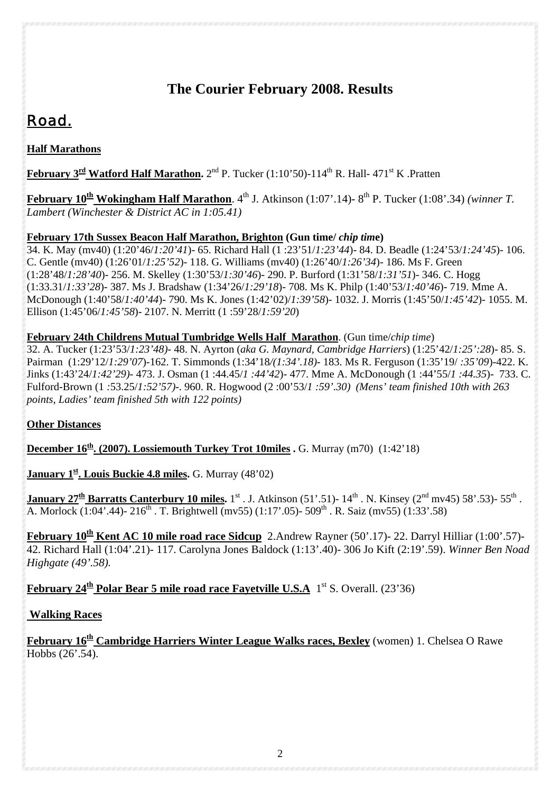## **The Courier February 2008. Results**

# *Road.*

## **Half Marathons**

**February 3<sup>rd</sup> Watford Half Marathon.** 2<sup>nd</sup> P. Tucker (1:10'50)-114<sup>th</sup> R. Hall- 471<sup>st</sup> K. Pratten

**February 10<sup>th</sup> Wokingham Half Marathon**. 4<sup>th</sup> J. Atkinson (1:07'.14)-8<sup>th</sup> P. Tucker (1:08'.34) *(winner T. Lambert (Winchester & District AC in 1:05.41)*

### **February 17th Sussex Beacon Half Marathon, Brighton (Gun time/** *chip tim***e)**

34. K. May (mv40) (1:20'46/*1:20'41*)- 65. Richard Hall (1 :23'51/*1:23'44*)- 84. D. Beadle (1:24'53/*1:24'45*)- 106. C. Gentle (mv40) (1:26'01/*1:25'52*)- 118. G. Williams (mv40) (1:26'40/*1:26'34*)- 186. Ms F. Green (1:28'48/*1:28'40*)- 256. M. Skelley (1:30'53/*1:30'46*)- 290. P. Burford (1:31'58/*1:31'51*)- 346. C. Hogg (1:33.31/*1:33'28*)- 387. Ms J. Bradshaw (1:34'26/*1:29'18*)- 708. Ms K. Philp (1:40'53/*1:40'46*)- 719. Mme A. McDonough (1:40'58/*1:40'44*)- 790. Ms K. Jones (1:42'02)/*1:39'58*)- 1032. J. Morris (1:45'50/*1:45'42*)- 1055. M. Ellison (1:45'06/*1:45'58*)- 2107. N. Merritt (1 :59'28/*1:59'20*)

#### **February 24th Childrens Mutual Tumbridge Wells Half Marathon**. (Gun time/*chip time*)

32. A. Tucker (1:23'53/*1:23'48)*- 48. N. Ayrton (*aka G. Maynard, Cambridge Harriers*) (1:25'42/*1:25':28*)- 85. S. Pairman (1:29'12/*1:29'07*)-162. T. Simmonds (1:34'18*/(1:34'.18)-* 183. Ms R. Ferguson (1:35'19/ *:35'09*)-422. K. Jinks (1:43'24/*1:42'29)-* 473. J. Osman (1 :44.45/*1 :44'42*)- 477. Mme A. McDonough (1 :44'55/*1 :44.35*)- 733. C. Fulford-Brown (1 *:*53.25/*1:52'57)*-. 960. R. Hogwood (2 :00'53/*1 :59'.30) (Mens' team finished 10th with 263 points, Ladies' team finished 5th with 122 points)*

## **Other Distances**

**December 16<sup>th</sup>. (2007). Lossiemouth Turkey Trot 10miles . G. Murray (m70) (1:42'18)** 

**January 1<sup>st</sup>. Louis Buckie 4.8 miles.** G. Murray (48'02)

**January 27<sup>th</sup> Barratts Canterbury 10 miles.** 1<sup>st</sup> . J. Atkinson (51'.51)- 14<sup>th</sup> . N. Kinsey (2<sup>nd</sup> mv45) 58'.53)- 55<sup>th</sup>. A. Morlock  $(1:04^{\circ}.44)$ - 216<sup>th</sup> . T. Brightwell (mv55)  $(1:17^{\circ}.05)$ - 509<sup>th</sup> . R. Saiz (mv55)  $(1:33^{\circ}.58)$ 

**February 10th Kent AC 10 mile road race Sidcup** 2.Andrew Rayner (50'.17)- 22. Darryl Hilliar (1:00'.57)- 42. Richard Hall (1:04'.21)- 117. Carolyna Jones Baldock (1:13'.40)- 306 Jo Kift (2:19'.59). *Winner Ben Noad Highgate (49'.58).* 

## **February 24<sup>th</sup> Polar Bear 5 mile road race Fayetville U.S.A** 1<sup>st</sup> S. Overall. (23'36)

## **Walking Races**

**February 16th Cambridge Harriers Winter League Walks races, Bexley** (women) 1. Chelsea O Rawe Hobbs (26'.54).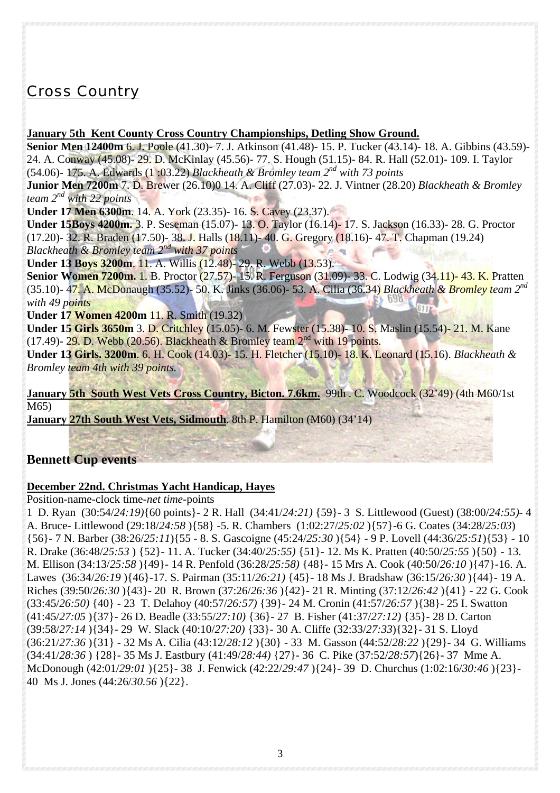## *Cross Country*

#### **January 5th Kent County Cross Country Championships, Detling Show Ground.**

**Senior Men 12400m** 6. J. Poole (41.30)- 7. J. Atkinson (41.48)- 15. P. Tucker (43.14)- 18. A. Gibbins (43.59)- 24. A. Conway (45.08)- 29. D. McKinlay (45.56)- 77. S. Hough (51.15)- 84. R. Hall (52.01)- 109. I. Taylor (54.06)- 175. A. Edwards (1 :03.22) *Blackheath & Bromley team 2nd with 73 points*

**Junior Men 7200m** 7. D. Brewer (26.10)0 14. A. Cliff (27.03)- 22. J. Vintner (28.20) *Blackheath & Bromley team 2nd with 22 points* 

**Under 17 Men 6300m**. 14. A. York (23.35)- 16. S. Cavey (23.37).

**Under 15Boys 4200m.** 3. P. Seseman (15.07)- 13. O. Taylor (16.14)- 17. S. Jackson (16.33)- 28. G. Proctor (17.20)- 32. R. Braden (17.50)- 38. J. Halls (18.11)- 40. G. Gregory (18.16)- 47. T. Chapman (19.24) *Blackheath & Bromley team 2nd with 37 points*

**Under 13 Boys 3200m.** 11. A. Willis (12.48)- 29. R. Webb (13.53).

**Senior Women 7200m.** 1. B. Proctor (27.57)- 15. R. Ferguson (31.09)- 33. C. Lodwig (34.11)- 43. K. Pratten (35.10)- 47. A. McDonaugh (35.52)- 50. K. Jinks (36.06)- 53. A. Cilia (36.34) *Blackheath & Bromley team 2nd with 49 points* 

**Under 17 Women 4200m** 11. R. Smith (19.32)

**Under 15 Girls 3650m** 3. D. Critchley (15.05)- 6. M. Fewster (15.38)- 10. S. Maslin (15.54)- 21. M. Kane (17.49)- 29. D. Webb (20.56). Blackheath & Bromley team  $2<sup>nd</sup>$  with 19 points.

**Under 13 Girls. 3200m**. 6. H. Cook (14.03)- 15. H. Fletcher (15.10)- 18. K. Leonard (15.16). *Blackheath & Bromley team 4th with 39 points.* 

January 5th South West Vets Cross Country, Bicton. 7.6km. 99th . C. Woodcock (32'49) (4th M60/1st M65)

**January 27th South West Vets, Sidmouth**. 8th P. Hamilton (M60) (34'14)

## **Bennett Cup events**

#### **December 22nd. Christmas Yacht Handicap, Hayes**

Position-name-clock time-*net time*-points

1 D. Ryan (30:54/*24:19)*{60 points}- 2 R. Hall (34:41/*24:21)* {59}- 3 S. Littlewood (Guest) (38:00/*24:55)*- 4 A. Bruce- Littlewood (29:18/*24:58* ){58} -5. R. Chambers (1:02:27/*25:02* ){57}-6 G. Coates (34:28/*25:03*) {56}- 7 N. Barber (38:26/*25:11*){55 - 8. S. Gascoigne (45:24/*25:30* ){54} - 9 P. Lovell (44:36/*25:51*){53} - 10 R. Drake (36:48/*25:53* ) {52}- 11. A. Tucker (34:40/*25:55)* {51}- 12. Ms K. Pratten (40:50/*25:55* ){50} - 13. M. Ellison (34:13/*25:58* ){49}- 14 R. Penfold (36:28/*25:58)* {48}- 15 Mrs A. Cook (40:50/*26:10* ){47}-16. A. Lawes (36:34/*26:19* ){46}-17. S. Pairman (35:11/*26:21)* {45}- 18 Ms J. Bradshaw (36:15/*26:30* ){44}- 19 A. Riches (39:50/*26:30* ){43}- 20 R. Brown (37:26/*26:36* ){42}- 21 R. Minting (37:12/*26:42* ){41} - 22 G. Cook (33:45/*26:50)* {40} - 23 T. Delahoy (40:57/*26:57)* {39}- 24 M. Cronin (41:57/*26:57* ){38}- 25 I. Swatton (41:45/*27:05* ){37}- 26 D. Beadle (33:55/*27:10)* {36}- 27 B. Fisher (41:37/*27:12)* {35}- 28 D. Carton (39:58/*27:14* ){34}- 29 W. Slack (40:10/*27:20)* {33}- 30 A. Cliffe (32:33/*27:33*){32}- 31 S. Lloyd (36:21/*27:36* ){31} - 32 Ms A. Cilia (43:12/*28:12* ){30} - 33 M. Gasson (44:52/*28:22* ){29}- 34 G. Williams (34:41/*28:36* ) {28}- 35 Ms J. Eastbury (41:49/*28:44)* {27}- 36 C. Pike (37:52/*28:57*){26}- 37 Mme A. McDonough (42:01/*29:01* ){25}- 38 J. Fenwick (42:22/*29:47* ){24}- 39 D. Churchus (1:02:16/*30:46* ){23}- 40 Ms J. Jones (44:26/*30.56* ){22}.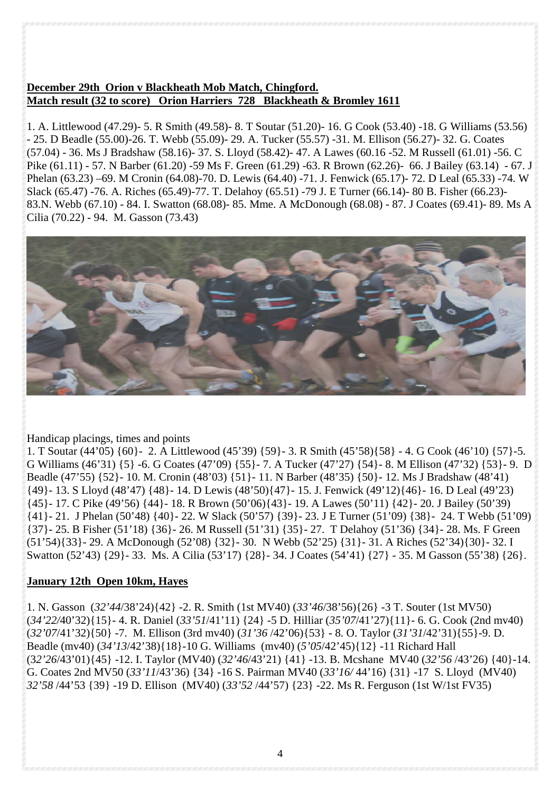#### **December 29th Orion v Blackheath Mob Match, Chingford. Match result (32 to score) Orion Harriers 728 Blackheath & Bromley 1611**

1. A. Littlewood (47.29)- 5. R Smith (49.58)- 8. T Soutar (51.20)- 16. G Cook (53.40) -18. G Williams (53.56) - 25. D Beadle (55.00)-26. T. Webb (55.09)- 29. A. Tucker (55.57) -31. M. Ellison (56.27)- 32. G. Coates (57.04) - 36. Ms J Bradshaw (58.16)- 37. S. Lloyd (58.42)- 47. A Lawes (60.16 -52. M Russell (61.01) -56. C Pike (61.11) - 57. N Barber (61.20) -59 Ms F. Green (61.29) -63. R Brown (62.26)- 66. J Bailey (63.14) - 67. J Phelan (63.23) –69. M Cronin (64.08)-70. D. Lewis (64.40) -71. J. Fenwick (65.17)- 72. D Leal (65.33) -74. W Slack (65.47) -76. A. Riches (65.49)-77. T. Delahoy (65.51) -79 J. E Turner (66.14)- 80 B. Fisher (66.23)- 83.N. Webb (67.10) - 84. I. Swatton (68.08)- 85. Mme. A McDonough (68.08) - 87. J Coates (69.41)- 89. Ms A Cilia (70.22) - 94. M. Gasson (73.43)



#### Handicap placings, times and points

1. T Soutar (44'05) {60}- 2. A Littlewood (45'39) {59}- 3. R Smith (45'58){58} - 4. G Cook (46'10) {57}-5. G Williams (46'31) {5} -6. G Coates (47'09) {55}- 7. A Tucker (47'27) {54}- 8. M Ellison (47'32) {53}- 9. D Beadle (47'55) {52}- 10. M. Cronin (48'03) {51}- 11. N Barber (48'35) {50}- 12. Ms J Bradshaw (48'41) {49}- 13. S Lloyd (48'47) {48}- 14. D Lewis (48'50){47}- 15. J. Fenwick (49'12){46}- 16. D Leal (49'23) {45}- 17. C Pike (49'56) {44}- 18. R Brown (50'06){43}- 19. A Lawes (50'11) {42}- 20. J Bailey (50'39) {41}- 21. J Phelan (50'48) {40}- 22. W Slack (50'57) {39}- 23. J E Turner (51'09) {38}- 24. T Webb (51'09) {37}- 25. B Fisher (51'18) {36}- 26. M Russell (51'31) {35}- 27. T Delahoy (51'36) {34}- 28. Ms. F Green (51'54){33}- 29. A McDonough (52'08) {32}- 30. N Webb (52'25) {31}- 31. A Riches (52'34){30}- 32. I Swatton (52'43) {29}- 33. Ms. A Cilia (53'17) {28}- 34. J Coates (54'41) {27} - 35. M Gasson (55'38) {26}.

#### **January 12th Open 10km, Hayes**

1. N. Gasson (*32'44*/38'24){42} -2. R. Smith (1st MV40) (*33'46*/38'56){26} -3 T. Souter (1st MV50) (*34'22/*40'32){15}- 4. R. Daniel (*33'51*/41'11) {24} -5 D. Hilliar (*35'07*/41'27){11}- 6. G. Cook (2nd mv40) (*32'07*/41'32){50} -7. M. Ellison (3rd mv40) (*31'36* /42'06){53} - 8. O. Taylor (*31'31*/42'31){55}-9. D. Beadle (mv40) (*34'13*/42'38){18}-10 G. Williams (mv40) (*5'05*/42'45){12} -11 Richard Hall (3*2'26*/43'01){45} -12. I. Taylor (MV40) (*32'46*/43'21) {41} -13. B. Mcshane MV40 (*32'56* /43'26) {40}-14. G. Coates 2nd MV50 (*33'11*/43'36) {34} -16 S. Pairman MV40 (*33'16/* 44'16) {31} -17 S. Lloyd (MV40) *32'58* /44'53 {39} -19 D. Ellison (MV40) (*33'52* /44'57) {23} -22. Ms R. Ferguson (1st W/1st FV35)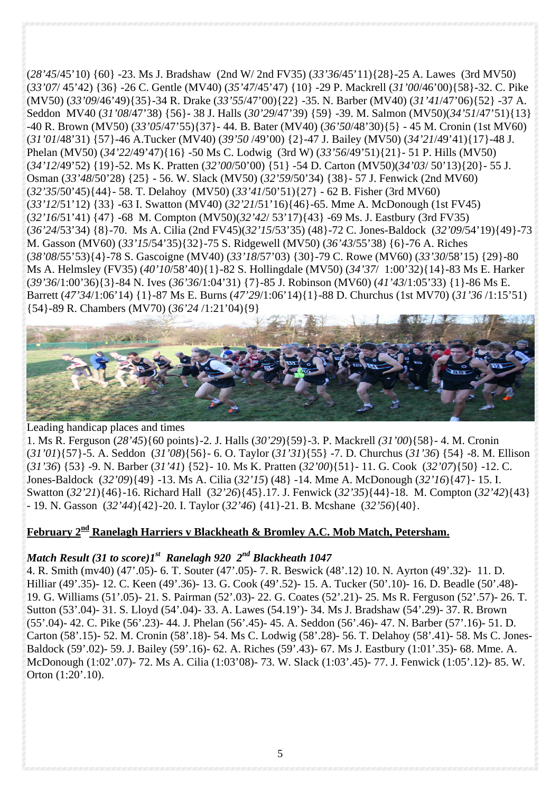(*28'45*/45'10) {60} -23. Ms J. Bradshaw (2nd W/ 2nd FV35) (*33'36*/45'11){28}-25 A. Lawes (3rd MV50) (*33'07*/ 45'42) {36} -26 C. Gentle (MV40) (*35'47*/45'47) {10} -29 P. Mackrell (*31'00*/46'00){58}-32. C. Pike (MV50) (*33'09*/46'49){35}-34 R. Drake (*33'55*/47'00){22} -35. N. Barber (MV40) (*31'41*/47'06){52} -37 A. Seddon MV40 (*31'08*/47'38) {56}- 38 J. Halls (*30'29*/47'39) {59} -39. M. Salmon (MV50)(*34'51*/47'51){13} -40 R. Brown (MV50) (*33'05*/47'55){37}- 44. B. Bater (MV40) (*36'50*/48'30){5} - 45 M. Cronin (1st MV60) (*31'01*/48'31) {57}-46 A.Tucker (MV40) (*39'50* /49'00) {2}-47 J. Bailey (MV50) (*34'21*/49'41){17}-48 J. Phelan (MV50) (*34'22*/49'47){16} -50 Ms C. Lodwig (3rd W) (*33'56*/49'51){21}- 51 P. Hills (MV50) (*34'12*/49'52) {19}-52. Ms K. Pratten (*32'00*/50'00) {51} -54 D. Carton (MV50)(*34'03*/ 50'13){20}- 55 J. Osman (*33'48*/50'28) {25} - 56. W. Slack (MV50) (*32'59*/50'34) {38}- 57 J. Fenwick (2nd MV60) (*32'35*/50'45){44}- 58. T. Delahoy (MV50) (*33'41*/50'51){27} - 62 B. Fisher (3rd MV60) (*33'12*/51'12) {33} -63 I. Swatton (MV40) (*32'21*/51'16){46}-65. Mme A. McDonough (1st FV45) (*32'16*/51'41) {47} -68 M. Compton (MV50)(*32'42*/ 53'17){43} -69 Ms. J. Eastbury (3rd FV35) (*36'24*/53'34) {8}-70. Ms A. Cilia (2nd FV45)(*32'15*/53'35) (48}-72 C. Jones-Baldock (*32'09*/54'19){49}-73 M. Gasson (MV60) (*33'15*/54'35){32}-75 S. Ridgewell (MV50) (*36'43*/55'38) {6}-76 A. Riches (*38'08*/55'53){4}-78 S. Gascoigne (MV40) (*33'18*/57'03) {30}-79 C. Rowe (MV60) (*33'30*/58'15) {29}-80 Ms A. Helmsley (FV35) (*40'10*/58'40){1}-82 S. Hollingdale (MV50) (*34'37*/ 1:00'32){14}-83 Ms E. Harker (*39'36*/1:00'36){3}-84 N. Ives (*36'36*/1:04'31) {7}-85 J. Robinson (MV60) (*41'43*/1:05'33) {1}-86 Ms E. Barrett (*47'34*/1:06'14) {1}-87 Ms E. Burns (*47'29*/1:06'14){1}-88 D. Churchus (1st MV70) (*31'36* /1:15'51) {54}-89 R. Chambers (MV70) (*36'24* /1:21'04){9}



#### Leading handicap places and times

1. Ms R. Ferguson (*28'45*){60 points}-2. J. Halls (*30'29*){59}-3. P. Mackrell *(31'00*){58}- 4. M. Cronin (*31'01*){57}-5. A. Seddon (*31'08*){56}- 6. O. Taylor (*31'31*){55} -7. D. Churchus (*31'36*) {54} -8. M. Ellison (*31'36*) {53} -9. N. Barber (*31'41*) {52}- 10. Ms K. Pratten (*32'00*){51}- 11. G. Cook (*32'07*){50} -12. C. Jones-Baldock (*32'09*){49} -13. Ms A. Cilia (*32'15*) (48} -14. Mme A. McDonough (*32'16*){47}- 15. I. Swatton (*32'21*){46}-16. Richard Hall (3*2'26*){45}.17. J. Fenwick (*32'35*){44}-18. M. Compton (*32'42*){43} - 19. N. Gasson (*32'44*){42}-20. I. Taylor (*32'46*) {41}-21. B. Mcshane (*32'56*){40}.

## February 2<sup>nd</sup> Ranelagh Harriers v Blackheath & Bromley A.C. Mob Match, Petersham.

#### *Match Result (31 to score)1st Ranelagh 920 2nd Blackheath 1047*

4. R. Smith (mv40) (47'.05)- 6. T. Souter (47'.05)- 7. R. Beswick (48'.12) 10. N. Ayrton (49'.32)- 11. D. Hilliar (49'.35)- 12. C. Keen (49'.36)- 13. G. Cook (49'.52)- 15. A. Tucker (50'.10)- 16. D. Beadle (50'.48)- 19. G. Williams (51'.05)- 21. S. Pairman (52'.03)- 22. G. Coates (52'.21)- 25. Ms R. Ferguson (52'.57)- 26. T. Sutton (53'.04)- 31. S. Lloyd (54'.04)- 33. A. Lawes (54.19')- 34. Ms J. Bradshaw (54'.29)- 37. R. Brown (55'.04)- 42. C. Pike (56'.23)- 44. J. Phelan (56'.45)- 45. A. Seddon (56'.46)- 47. N. Barber (57'.16)- 51. D. Carton (58'.15)- 52. M. Cronin (58'.18)- 54. Ms C. Lodwig (58'.28)- 56. T. Delahoy (58'.41)- 58. Ms C. Jones-Baldock (59'.02)- 59. J. Bailey (59'.16)- 62. A. Riches (59'.43)- 67. Ms J. Eastbury (1:01'.35)- 68. Mme. A. McDonough (1:02'.07)- 72. Ms A. Cilia (1:03'08)- 73. W. Slack (1:03'.45)- 77. J. Fenwick (1:05'.12)- 85. W. Orton (1:20'.10).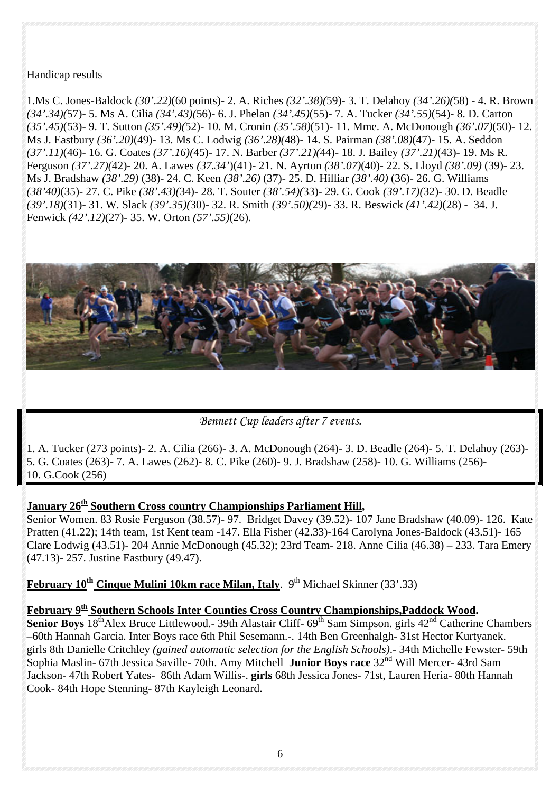#### Handicap results

1.Ms C. Jones-Baldock *(30'.22)*(60 points)- 2. A. Riches *(32'.38)(*59)- 3. T. Delahoy *(34'.26)(*58) - 4. R. Brown *(34'.34)(*57)- 5. Ms A. Cilia *(34'.43)(*56)- 6. J. Phelan *(34'.45)*(55)- 7. A. Tucker *(34'.55)*(54)- 8. D. Carton *(35'.45)*(53)- 9. T. Sutton *(35'.49)(*52)- 10. M. Cronin *(35'.58)*(51)- 11. Mme. A. McDonough *(36'.07)*(50)- 12. Ms J. Eastbury *(36'.20)*(49)- 13. Ms C. Lodwig *(36'.28)(*48)- 14. S. Pairman *(38'.08)*(47)- 15. A. Seddon *(37'.11)*(46)- 16. G. Coates *(37'.16)(*45)- 17. N. Barber *(37'.21)(*44)- 18. J. Bailey *(37'.21)*(43)- 19. Ms R. Ferguson *(37'.27)(*42)- 20. A. Lawes *(37.34'*)(41)- 21. N. Ayrton *(38'.07)*(40)- 22. S. Lloyd *(38'.09)* (39)- 23. Ms J. Bradshaw *(38'.29)* (38)- 24. C. Keen *(38'.26)* (37)- 25. D. Hilliar *(38'.40)* (36)- 26. G. Williams *(38'40)*(35)- 27. C. Pike *(38'.43)(*34)- 28. T. Souter *(38'.54)(*33)- 29. G. Cook *(39'.17)(*32)- 30. D. Beadle *(39'.18)*(31)- 31. W. Slack *(39'.35)(*30)- 32. R. Smith *(39'.50)(*29)- 33. R. Beswick *(41'.42)*(28) - 34. J. Fenwick *(42'.12)*(27)- 35. W. Orton *(57'.55)*(26).



## *Bennett Cup leaders after 7 events.*

1. A. Tucker (273 points)- 2. A. Cilia (266)- 3. A. McDonough (264)- 3. D. Beadle (264)- 5. T. Delahoy (263)- 5. G. Coates (263)- 7. A. Lawes (262)- 8. C. Pike (260)- 9. J. Bradshaw (258)- 10. G. Williams (256)- 10. G.Cook (256)

#### **January 26<sup>th</sup> Southern Cross country Championships Parliament Hill,**

Senior Women. 83 Rosie Ferguson (38.57)- 97. Bridget Davey (39.52)- 107 Jane Bradshaw (40.09)- 126. Kate Pratten (41.22); 14th team, 1st Kent team -147. Ella Fisher (42.33)-164 Carolyna Jones-Baldock (43.51)- 165 Clare Lodwig (43.51)- 204 Annie McDonough (45.32); 23rd Team- 218. Anne Cilia (46.38) – 233. Tara Emery (47.13)- 257. Justine Eastbury (49.47).

**February 10<sup>th</sup> Cinque Mulini 10km race Milan, Italy**. 9<sup>th</sup> Michael Skinner (33'.33)

## **February 9th Southern Schools Inter Counties Cross Country Championships,Paddock Wood.**

**Senior Boys** 18<sup>th</sup>Alex Bruce Littlewood.- 39th Alastair Cliff- 69<sup>th</sup> Sam Simpson. girls 42<sup>nd</sup> Catherine Chambers –60th Hannah Garcia. Inter Boys race 6th Phil Sesemann.-. 14th Ben Greenhalgh- 31st Hector Kurtyanek. girls 8th Danielle Critchley *(gained automatic selection for the English Schools)*.- 34th Michelle Fewster- 59th Sophia Maslin- 67th Jessica Saville- 70th. Amy Mitchell **Junior Boys race** 32<sup>nd</sup> Will Mercer- 43rd Sam Jackson- 47th Robert Yates- 86th Adam Willis-. **girls** 68th Jessica Jones- 71st, Lauren Heria- 80th Hannah Cook- 84th Hope Stenning- 87th Kayleigh Leonard.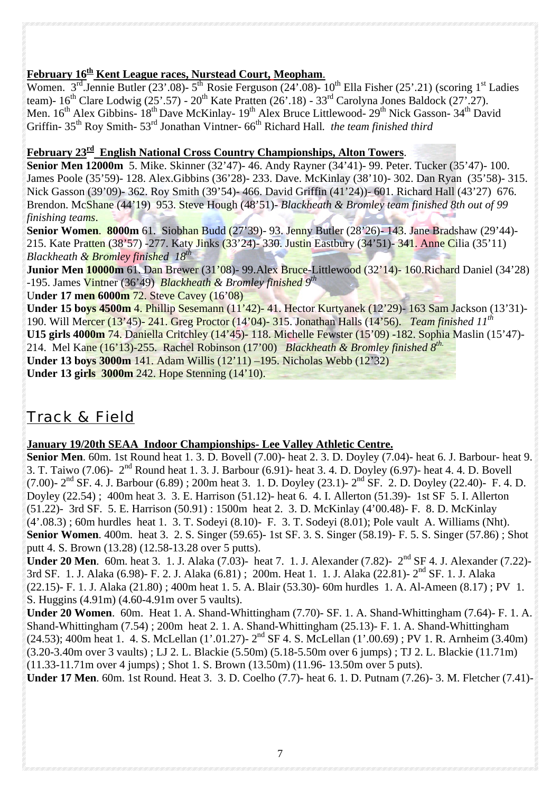## **February 16th Kent League races, Nurstead Court, Meopham**.

Women. 3<sup>rd</sup>.Jennie Butler (23'.08)- 5<sup>th</sup> Rosie Ferguson (24'.08)- 10<sup>th</sup> Ella Fisher (25'.21) (scoring 1<sup>st</sup> Ladies team)-  $16^{th}$  Clare Lodwig (25'.57) -  $20^{th}$  Kate Pratten (26'.18) -  $33^{rd}$  Carolyna Jones Baldock (27'.27). Men. 16<sup>th</sup> Alex Gibbins- 18<sup>th</sup> Dave McKinlay- 19<sup>th</sup> Alex Bruce Littlewood- 29<sup>th</sup> Nick Gasson- 34<sup>th</sup> David Griffin- 35<sup>th</sup> Roy Smith- 53<sup>rd</sup> Jonathan Vintner- 66<sup>th</sup> Richard Hall. *the team finished third* 

#### **February 23rd English National Cross Country Championships, Alton Towers**.

**Senior Men 12000m** 5. Mike. Skinner (32'47)- 46. Andy Rayner (34'41)- 99. Peter. Tucker (35'47)- 100. James Poole (35'59)- 128. Alex.Gibbins (36'28)- 233. Dave. McKinlay (38'10)- 302. Dan Ryan (35'58)- 315. Nick Gasson (39'09)- 362. Roy Smith (39'54)- 466. David Griffin (41'24))- 601. Richard Hall (43'27) 676. Brendon. McShane (44'19) 953. Steve Hough (48'51)- *Blackheath & Bromley team finished 8th out of 99 finishing teams*.

**Senior Women**. **8000m** 61. Siobhan Budd (27'39)- 93. Jenny Butler (28'26)- 143. Jane Bradshaw (29'44)- 215. Kate Pratten (38'57) -277. Katy Jinks (33'24)- 330. Justin Eastbury (34'51)- 341. Anne Cilia (35'11) *Blackheath & Bromley finished 18th* 

**Junior Men 10000m** 61. Dan Brewer (31'08)- 99.Alex Bruce-Littlewood (32'14)- 160.Richard Daniel (34'28) -195. James Vintner (36'49) *Blackheath & Bromley finished 9th*

U**nder 17 men 6000m** 72. Steve Cavey (16'08)

**Under 15 boys 4500m** 4. Phillip Sesemann (11'42)- 41. Hector Kurtyanek (12'29)- 163 Sam Jackson (13'31)- 190. Will Mercer (13'45)- 241. Greg Proctor (14'04)- 315. Jonathan Halls (14'56). *Team finished 11th* **U15 girls 4000m** 74. Daniella Critchley (14'45)- 118. Michelle Fewster (15'09) -182. Sophia Maslin (15'47)- 214. Mel Kane (16'13)-255. Rachel Robinson (17'00) *Blackheath & Bromley finished 8th.* **Under 13 boys 3000m** 141. Adam Willis (12'11) –195. Nicholas Webb (12'32) **Under 13 girls 3000m** 242. Hope Stenning (14'10).

## *Track & Field*

#### **January 19/20th SEAA Indoor Championships- Lee Valley Athletic Centre.**

**Senior Men**. 60m. 1st Round heat 1. 3. D. Bovell (7.00)- heat 2. 3. D. Doyley (7.04)- heat 6. J. Barbour- heat 9. 3. T. Taiwo (7.06)- 2nd Round heat 1. 3. J. Barbour (6.91)- heat 3. 4. D. Doyley (6.97)- heat 4. 4. D. Bovell (7.00)-  $2<sup>nd</sup>$  SF. 4. J. Barbour (6.89) ; 200m heat 3. 1. D. Doyley (23.1)-  $2<sup>nd</sup>$  SF. 2. D. Doyley (22.40)- F. 4. D. Doyley (22.54) ; 400m heat 3. 3. E. Harrison (51.12)- heat 6. 4. I. Allerton (51.39)- 1st SF 5. I. Allerton (51.22)- 3rd SF. 5. E. Harrison (50.91) : 1500m heat 2. 3. D. McKinlay (4'00.48)- F. 8. D. McKinlay (4'.08.3) ; 60m hurdles heat 1. 3. T. Sodeyi (8.10)- F. 3. T. Sodeyi (8.01); Pole vault A. Williams (Nht). **Senior Women**. 400m. heat 3. 2. S. Singer (59.65)- 1st SF. 3. S. Singer (58.19)- F. 5. S. Singer (57.86); Shot putt 4. S. Brown (13.28) (12.58-13.28 over 5 putts).

**Under 20 Men.** 60m. heat 3. 1. J. Alaka (7.03)- heat 7. 1. J. Alexander (7.82)- 2<sup>nd</sup> SF 4. J. Alexander (7.22)-3rd SF. 1. J. Alaka (6.98)- F. 2. J. Alaka (6.81); 200m. Heat 1. 1. J. Alaka (22.81)- 2<sup>nd</sup> SF. 1. J. Alaka (22.15)- F. 1. J. Alaka (21.80) ; 400m heat 1. 5. A. Blair (53.30)- 60m hurdles 1. A. Al-Ameen (8.17) ; PV 1. S. Huggins (4.91m) (4.60-4.91m over 5 vaults).

**Under 20 Women**. 60m. Heat 1. A. Shand-Whittingham (7.70)- SF. 1. A. Shand-Whittingham (7.64)- F. 1. A. Shand-Whittingham (7.54) ; 200m heat 2. 1. A. Shand-Whittingham (25.13)- F. 1. A. Shand-Whittingham  $(24.53)$ ; 400m heat 1. 4. S. McLellan (1'.01.27)-  $2<sup>nd</sup>$  SF 4. S. McLellan (1'.00.69) ; PV 1. R. Arnheim (3.40m) (3.20-3.40m over 3 vaults) ; LJ 2. L. Blackie (5.50m) (5.18-5.50m over 6 jumps) ; TJ 2. L. Blackie (11.71m) (11.33-11.71m over 4 jumps) ; Shot 1. S. Brown (13.50m) (11.96- 13.50m over 5 puts). **Under 17 Men**. 60m. 1st Round. Heat 3. 3. D. Coelho (7.7)- heat 6. 1. D. Putnam (7.26)- 3. M. Fletcher (7.41)-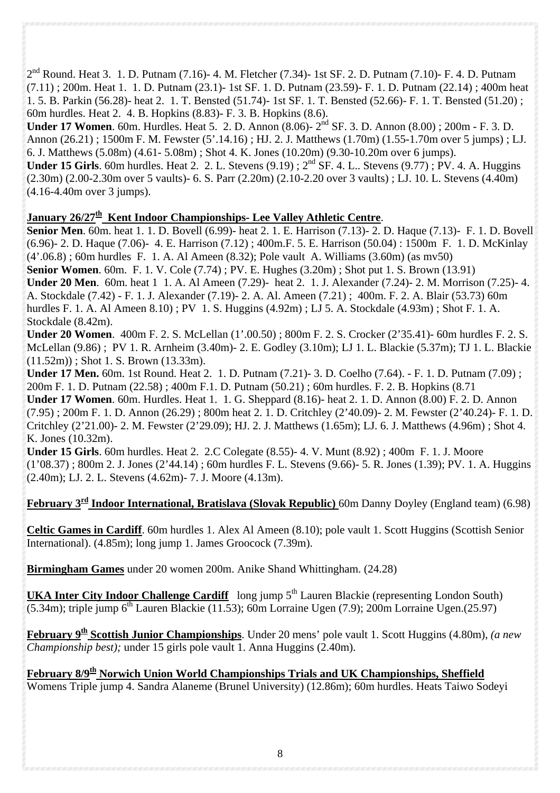$2<sup>nd</sup>$  Round. Heat 3. 1. D. Putnam (7.16)- 4. M. Fletcher (7.34)- 1st SF. 2. D. Putnam (7.10)- F. 4. D. Putnam (7.11) ; 200m. Heat 1. 1. D. Putnam (23.1)- 1st SF. 1. D. Putnam (23.59)- F. 1. D. Putnam (22.14) ; 400m heat 1. 5. B. Parkin (56.28)- heat 2. 1. T. Bensted (51.74)- 1st SF. 1. T. Bensted (52.66)- F. 1. T. Bensted (51.20) ; 60m hurdles. Heat 2. 4. B. Hopkins (8.83)- F. 3. B. Hopkins (8.6).

**Under 17 Women**. 60m. Hurdles. Heat 5. 2. D. Annon (8.06)- 2nd SF. 3. D. Annon (8.00) ; 200m - F. 3. D. Annon (26.21) ; 1500m F. M. Fewster (5'.14.16) ; HJ. 2. J. Matthews (1.70m) (1.55-1.70m over 5 jumps) ; LJ. 6. J. Matthews (5.08m) (4.61- 5.08m) ; Shot 4. K. Jones (10.20m) (9.30-10.20m over 6 jumps).

**Under 15 Girls**. 60m hurdles. Heat 2. 2. L. Stevens (9.19) ;  $2^{nd}$  SF. 4. L.. Stevens (9.77) ; PV. 4. A. Huggins (2.30m) (2.00-2.30m over 5 vaults)- 6. S. Parr (2.20m) (2.10-2.20 over 3 vaults) ; LJ. 10. L. Stevens (4.40m) (4.16-4.40m over 3 jumps).

## January 26/27<sup>th</sup> Kent Indoor Championships- Lee Valley Athletic Centre.

**Senior Men**. 60m. heat 1. 1. D. Bovell (6.99)- heat 2. 1. E. Harrison (7.13)- 2. D. Haque (7.13)- F. 1. D. Bovell (6.96)- 2. D. Haque (7.06)- 4. E. Harrison (7.12) ; 400m.F. 5. E. Harrison (50.04) : 1500m F. 1. D. McKinlay (4'.06.8) ; 60m hurdles F. 1. A. Al Ameen (8.32); Pole vault A. Williams (3.60m) (as mv50) **Senior Women**. 60m. F. 1. V. Cole (7.74) ; PV. E. Hughes (3.20m) ; Shot put 1. S. Brown (13.91) **Under 20 Men**. 60m. heat 1 1. A. Al Ameen (7.29)- heat 2. 1. J. Alexander (7.24)- 2. M. Morrison (7.25)- 4. A. Stockdale (7.42) - F. 1. J. Alexander (7.19)- 2. A. Al. Ameen (7.21) ; 400m. F. 2. A. Blair (53.73) 60m hurdles F. 1. A. Al Ameen 8.10) ; PV 1. S. Huggins (4.92m) ; LJ 5. A. Stockdale (4.93m) ; Shot F. 1. A. Stockdale (8.42m).

**Under 20 Women**. 400m F. 2. S. McLellan (1'.00.50) ; 800m F. 2. S. Crocker (2'35.41)- 60m hurdles F. 2. S. McLellan (9.86) ; PV 1. R. Arnheim (3.40m)- 2. E. Godley (3.10m); LJ 1. L. Blackie (5.37m); TJ 1. L. Blackie  $(11.52m)$ ; Shot 1. S. Brown  $(13.33m)$ .

**Under 17 Men.** 60m. 1st Round. Heat 2. 1. D. Putnam (7.21)- 3. D. Coelho (7.64). - F. 1. D. Putnam (7.09) ; 200m F. 1. D. Putnam (22.58) ; 400m F.1. D. Putnam (50.21) ; 60m hurdles. F. 2. B. Hopkins (8.71 **Under 17 Women**. 60m. Hurdles. Heat 1. 1. G. Sheppard (8.16)- heat 2. 1. D. Annon (8.00) F. 2. D. Annon (7.95) ; 200m F. 1. D. Annon (26.29) ; 800m heat 2. 1. D. Critchley (2'40.09)- 2. M. Fewster (2'40.24)- F. 1. D. Critchley (2'21.00)- 2. M. Fewster (2'29.09); HJ. 2. J. Matthews (1.65m); LJ. 6. J. Matthews (4.96m) ; Shot 4. K. Jones (10.32m).

**Under 15 Girls**. 60m hurdles. Heat 2. 2.C Colegate (8.55)- 4. V. Munt (8.92) ; 400m F. 1. J. Moore (1'08.37) ; 800m 2. J. Jones (2'44.14) ; 60m hurdles F. L. Stevens (9.66)- 5. R. Jones (1.39); PV. 1. A. Huggins (2.40m); LJ. 2. L. Stevens (4.62m)- 7. J. Moore (4.13m).

## **February 3rd Indoor International, Bratislava (Slovak Republic)** 60m Danny Doyley (England team) (6.98)

**Celtic Games in Cardiff**. 60m hurdles 1. Alex Al Ameen (8.10); pole vault 1. Scott Huggins (Scottish Senior International). (4.85m); long jump 1. James Groocock (7.39m).

**Birmingham Games** under 20 women 200m. Anike Shand Whittingham. (24.28)

**UKA Inter City Indoor Challenge Cardiff** long jump 5<sup>th</sup> Lauren Blackie (representing London South)  $(5.34\text{m})$ ; triple jump 6<sup>th</sup> Lauren Blackie (11.53); 60m Lorraine Ugen (7.9); 200m Lorraine Ugen.(25.97)

**February 9th Scottish Junior Championships**. Under 20 mens' pole vault 1. Scott Huggins (4.80m), *(a new Championship best);* under 15 girls pole vault 1. Anna Huggins (2.40m).

**February 8/9th Norwich Union World Championships Trials and UK Championships, Sheffield**  Womens Triple jump 4. Sandra Alaneme (Brunel University) (12.86m); 60m hurdles. Heats Taiwo Sodeyi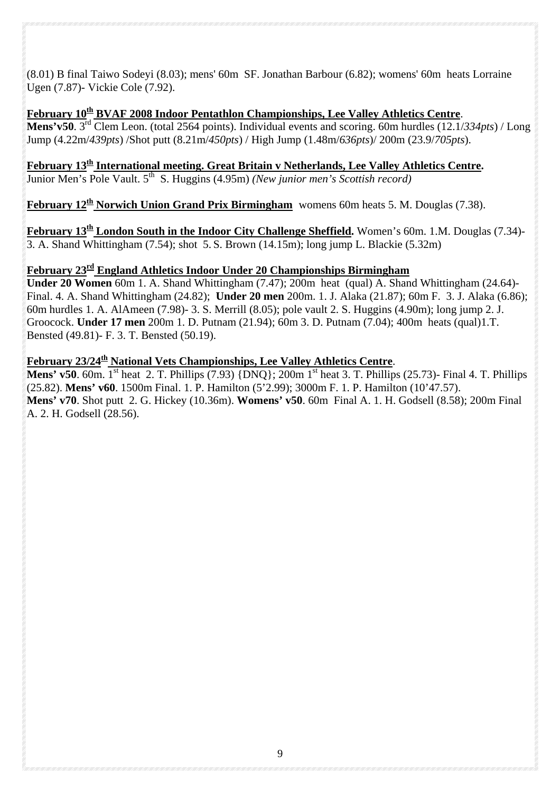(8.01) B final Taiwo Sodeyi (8.03); mens' 60m SF. Jonathan Barbour (6.82); womens' 60m heats Lorraine Ugen (7.87)- Vickie Cole (7.92).

## **February 10th BVAF 2008 Indoor Pentathlon Championships, Lee Valley Athletics Centre**.

**Mens'v50**. 3rd Clem Leon. (total 2564 points). Individual events and scoring. 60m hurdles (12.1/*334pts*) / Long Jump (4.22m/*439pts*) /Shot putt (8.21m/*450pts*) / High Jump (1.48m/*636pts*)/ 200m (23.9/*705pts*).

**February 13th International meeting. Great Britain v Netherlands, Lee Valley Athletics Centre.** Junior Men's Pole Vault. 5th S. Huggins (4.95m) *(New junior men's Scottish record)*

**February 12th Norwich Union Grand Prix Birmingham** womens 60m heats 5. M. Douglas (7.38).

**February 13th London South in the Indoor City Challenge Sheffield.** Women's 60m. 1.M. Douglas (7.34)- 3. A. Shand Whittingham (7.54); shot 5. S. Brown (14.15m); long jump L. Blackie (5.32m)

#### **February 23rd England Athletics Indoor Under 20 Championships Birmingham**

**Under 20 Women** 60m 1. A. Shand Whittingham (7.47); 200m heat (qual) A. Shand Whittingham (24.64)- Final. 4. A. Shand Whittingham (24.82); **Under 20 men** 200m. 1. J. Alaka (21.87); 60m F. 3. J. Alaka (6.86); 60m hurdles 1. A. AlAmeen (7.98)- 3. S. Merrill (8.05); pole vault 2. S. Huggins (4.90m); long jump 2. J. Groocock. **Under 17 men** 200m 1. D. Putnam (21.94); 60m 3. D. Putnam (7.04); 400m heats (qual)1.T. Bensted (49.81)- F. 3. T. Bensted (50.19).

### February 23/24<sup>th</sup> National Vets Championships, Lee Valley Athletics Centre.

**Mens' v50**. 60m. <sup>1st</sup> heat 2. T. Phillips (7.93) {DNQ}; 200m 1<sup>st</sup> heat 3. T. Phillips (25.73)- Final 4. T. Phillips (25.82). **Mens' v60**. 1500m Final. 1. P. Hamilton (5'2.99); 3000m F. 1. P. Hamilton (10'47.57). **Mens' v70**. Shot putt 2. G. Hickey (10.36m). **Womens' v50**. 60m Final A. 1. H. Godsell (8.58); 200m Final A. 2. H. Godsell (28.56).